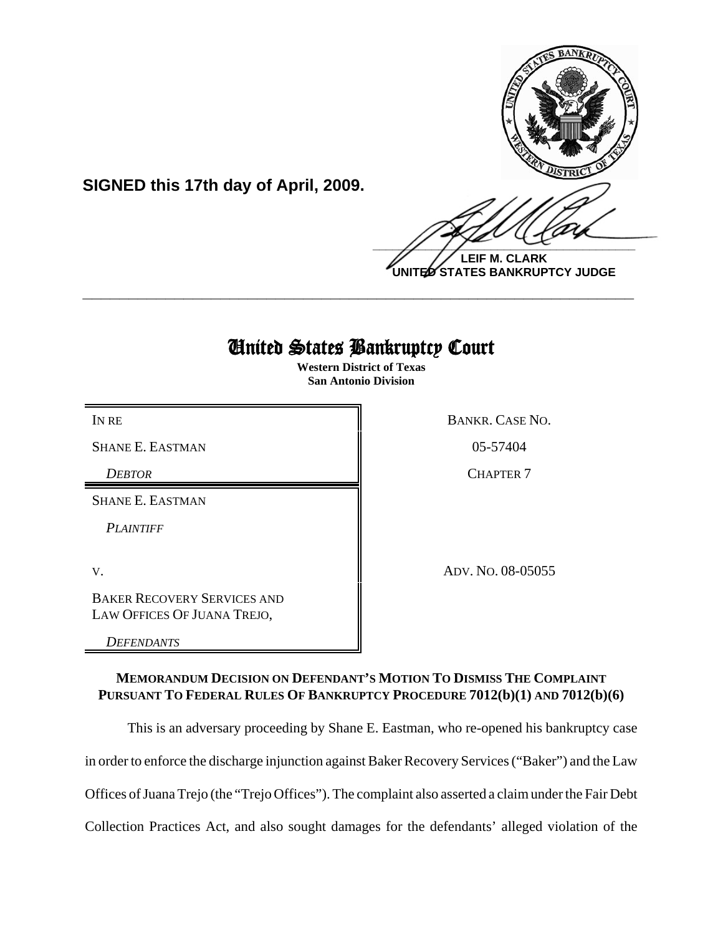

**UNITED STATES BANKRUPTCY JUDGE**

# United States Bankruptcy Court

**\_\_\_\_\_\_\_\_\_\_\_\_\_\_\_\_\_\_\_\_\_\_\_\_\_\_\_\_\_\_\_\_\_\_\_\_\_\_\_\_\_\_\_\_\_\_\_\_\_\_\_\_\_\_\_\_\_\_\_\_**

**Western District of Texas San Antonio Division**

IN RE BANKR. CASE NO.

SHANE E. EASTMAN 805-57404

*DEBTOR* CHAPTER 7

SHANE E. EASTMAN

*PLAINTIFF* 

V. ADV. NO. 08-05055

BAKER RECOVERY SERVICES AND LAW OFFICES OF JUANA TREJO,

**SIGNED this 17th day of April, 2009.**

*DEFENDANTS*

# **MEMORANDUM DECISION ON DEFENDANT'S MOTION TO DISMISS THE COMPLAINT PURSUANT TO FEDERAL RULES OF BANKRUPTCY PROCEDURE 7012(b)(1) AND 7012(b)(6)**

This is an adversary proceeding by Shane E. Eastman, who re-opened his bankruptcy case

in order to enforce the discharge injunction against Baker Recovery Services ("Baker") and the Law

Offices of Juana Trejo (the "Trejo Offices"). The complaint also asserted a claim under the Fair Debt

Collection Practices Act, and also sought damages for the defendants' alleged violation of the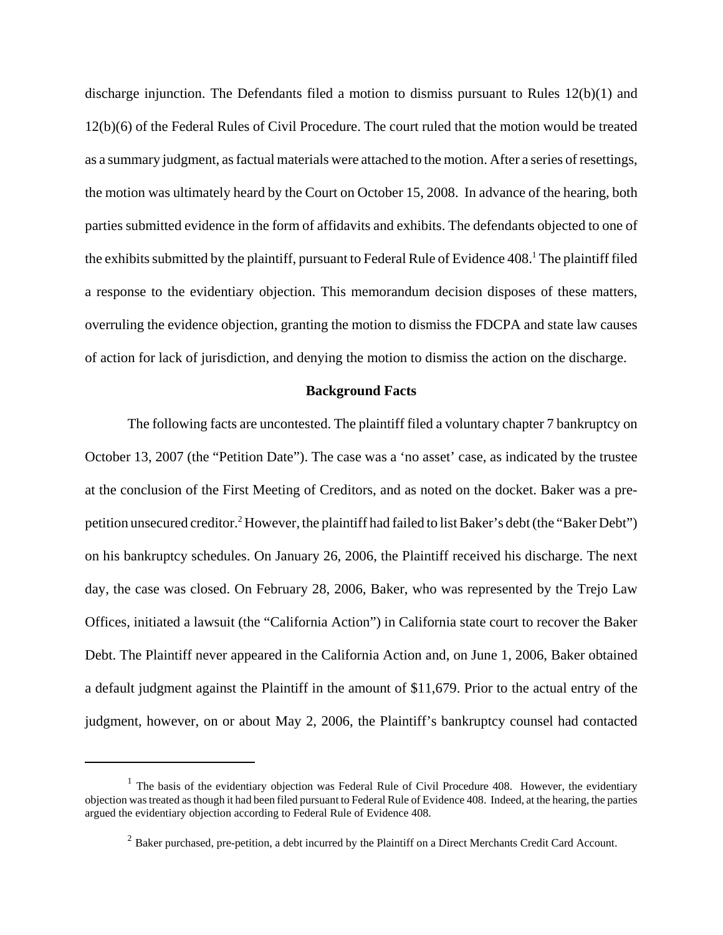discharge injunction. The Defendants filed a motion to dismiss pursuant to Rules 12(b)(1) and 12(b)(6) of the Federal Rules of Civil Procedure. The court ruled that the motion would be treated as a summary judgment, as factual materials were attached to the motion. After a series of resettings, the motion was ultimately heard by the Court on October 15, 2008. In advance of the hearing, both parties submitted evidence in the form of affidavits and exhibits. The defendants objected to one of the exhibits submitted by the plaintiff, pursuant to Federal Rule of Evidence 408.<sup>1</sup> The plaintiff filed a response to the evidentiary objection. This memorandum decision disposes of these matters, overruling the evidence objection, granting the motion to dismiss the FDCPA and state law causes of action for lack of jurisdiction, and denying the motion to dismiss the action on the discharge.

## **Background Facts**

The following facts are uncontested. The plaintiff filed a voluntary chapter 7 bankruptcy on October 13, 2007 (the "Petition Date"). The case was a 'no asset' case, as indicated by the trustee at the conclusion of the First Meeting of Creditors, and as noted on the docket. Baker was a prepetition unsecured creditor.<sup>2</sup> However, the plaintiff had failed to list Baker's debt (the "Baker Debt") on his bankruptcy schedules. On January 26, 2006, the Plaintiff received his discharge. The next day, the case was closed. On February 28, 2006, Baker, who was represented by the Trejo Law Offices, initiated a lawsuit (the "California Action") in California state court to recover the Baker Debt. The Plaintiff never appeared in the California Action and, on June 1, 2006, Baker obtained a default judgment against the Plaintiff in the amount of \$11,679. Prior to the actual entry of the judgment, however, on or about May 2, 2006, the Plaintiff's bankruptcy counsel had contacted

 $1$  The basis of the evidentiary objection was Federal Rule of Civil Procedure 408. However, the evidentiary objection was treated as though it had been filed pursuant to Federal Rule of Evidence 408. Indeed, at the hearing, the parties argued the evidentiary objection according to Federal Rule of Evidence 408.

<sup>&</sup>lt;sup>2</sup> Baker purchased, pre-petition, a debt incurred by the Plaintiff on a Direct Merchants Credit Card Account.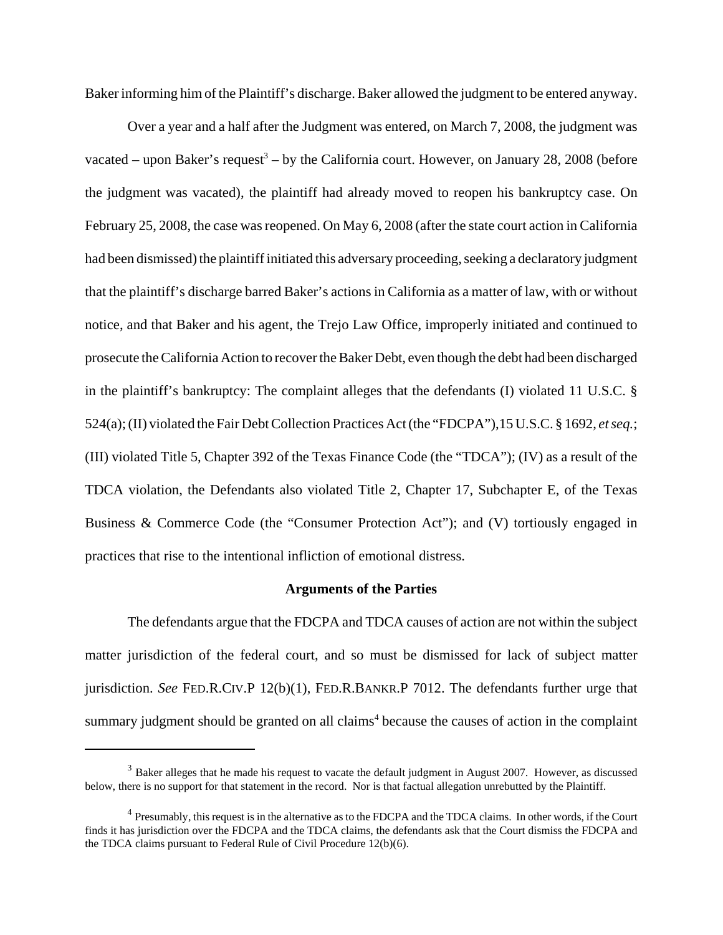Baker informing him of the Plaintiff's discharge. Baker allowed the judgment to be entered anyway.

Over a year and a half after the Judgment was entered, on March 7, 2008, the judgment was vacated – upon Baker's request<sup>3</sup> – by the California court. However, on January 28, 2008 (before the judgment was vacated), the plaintiff had already moved to reopen his bankruptcy case. On February 25, 2008, the case was reopened. On May 6, 2008 (after the state court action in California had been dismissed) the plaintiff initiated this adversary proceeding, seeking a declaratory judgment that the plaintiff's discharge barred Baker's actions in California as a matter of law, with or without notice, and that Baker and his agent, the Trejo Law Office, improperly initiated and continued to prosecute the California Action to recover the Baker Debt, even though the debt had been discharged in the plaintiff's bankruptcy: The complaint alleges that the defendants (I) violated 11 U.S.C. § 524(a); (II) violated the Fair Debt Collection Practices Act (the "FDCPA"),15 U.S.C. § 1692, *et seq.*; (III) violated Title 5, Chapter 392 of the Texas Finance Code (the "TDCA"); (IV) as a result of the TDCA violation, the Defendants also violated Title 2, Chapter 17, Subchapter E, of the Texas Business & Commerce Code (the "Consumer Protection Act"); and (V) tortiously engaged in practices that rise to the intentional infliction of emotional distress.

#### **Arguments of the Parties**

The defendants argue that the FDCPA and TDCA causes of action are not within the subject matter jurisdiction of the federal court, and so must be dismissed for lack of subject matter jurisdiction. *See* FED.R.CIV.P 12(b)(1), FED.R.BANKR.P 7012. The defendants further urge that summary judgment should be granted on all claims<sup>4</sup> because the causes of action in the complaint

<sup>&</sup>lt;sup>3</sup> Baker alleges that he made his request to vacate the default judgment in August 2007. However, as discussed below, there is no support for that statement in the record. Nor is that factual allegation unrebutted by the Plaintiff.

 $<sup>4</sup>$  Presumably, this request is in the alternative as to the FDCPA and the TDCA claims. In other words, if the Court</sup> finds it has jurisdiction over the FDCPA and the TDCA claims, the defendants ask that the Court dismiss the FDCPA and the TDCA claims pursuant to Federal Rule of Civil Procedure 12(b)(6).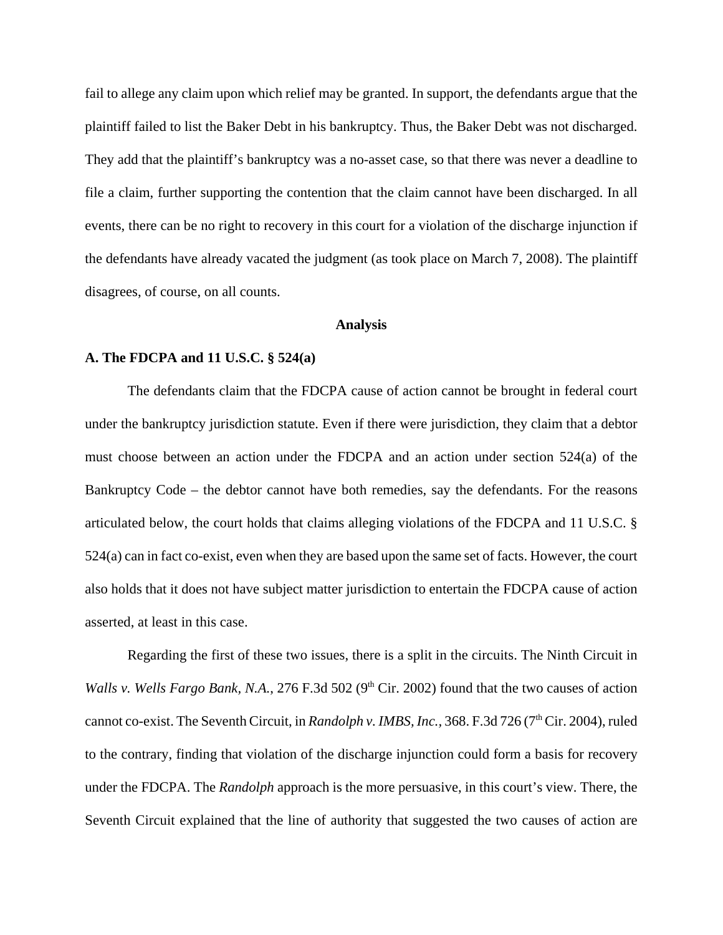fail to allege any claim upon which relief may be granted. In support, the defendants argue that the plaintiff failed to list the Baker Debt in his bankruptcy. Thus, the Baker Debt was not discharged. They add that the plaintiff's bankruptcy was a no-asset case, so that there was never a deadline to file a claim, further supporting the contention that the claim cannot have been discharged. In all events, there can be no right to recovery in this court for a violation of the discharge injunction if the defendants have already vacated the judgment (as took place on March 7, 2008). The plaintiff disagrees, of course, on all counts.

#### **Analysis**

# **A. The FDCPA and 11 U.S.C. § 524(a)**

The defendants claim that the FDCPA cause of action cannot be brought in federal court under the bankruptcy jurisdiction statute. Even if there were jurisdiction, they claim that a debtor must choose between an action under the FDCPA and an action under section 524(a) of the Bankruptcy Code – the debtor cannot have both remedies, say the defendants. For the reasons articulated below, the court holds that claims alleging violations of the FDCPA and 11 U.S.C. § 524(a) can in fact co-exist, even when they are based upon the same set of facts. However, the court also holds that it does not have subject matter jurisdiction to entertain the FDCPA cause of action asserted, at least in this case.

Regarding the first of these two issues, there is a split in the circuits. The Ninth Circuit in *Walls v. Wells Fargo Bank, N.A.*, 276 F.3d 502 (9<sup>th</sup> Cir. 2002) found that the two causes of action cannot co-exist. The Seventh Circuit, in *Randolph v. IMBS, Inc.*, 368. F.3d 726 (7<sup>th</sup> Cir. 2004), ruled to the contrary, finding that violation of the discharge injunction could form a basis for recovery under the FDCPA. The *Randolph* approach is the more persuasive, in this court's view. There, the Seventh Circuit explained that the line of authority that suggested the two causes of action are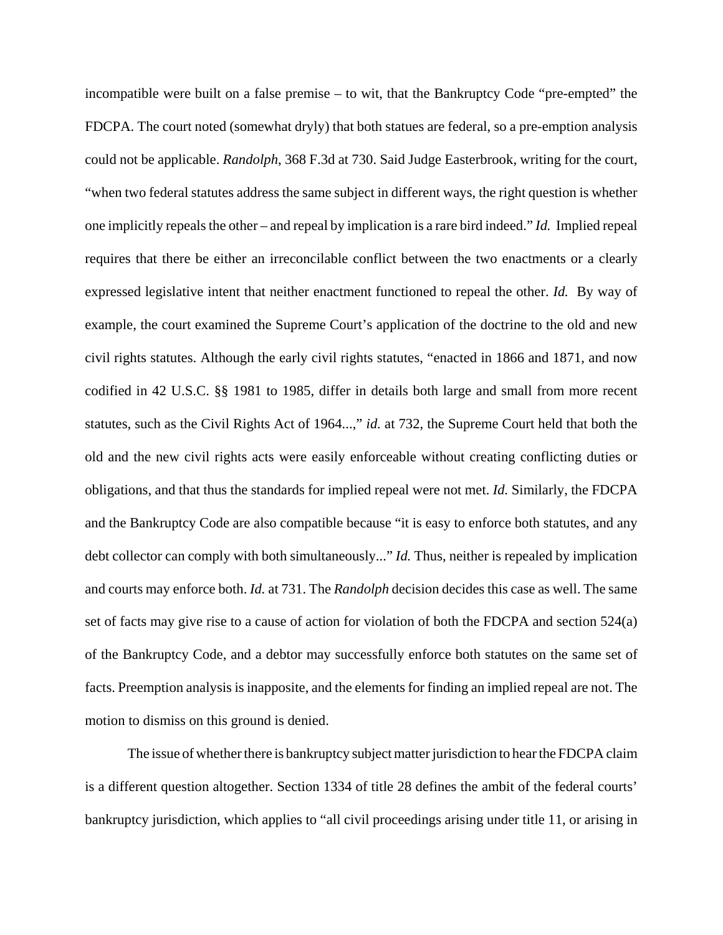incompatible were built on a false premise – to wit, that the Bankruptcy Code "pre-empted" the FDCPA. The court noted (somewhat dryly) that both statues are federal, so a pre-emption analysis could not be applicable. *Randolph*, 368 F.3d at 730. Said Judge Easterbrook, writing for the court, "when two federal statutes address the same subject in different ways, the right question is whether one implicitly repeals the other – and repeal by implication is a rare bird indeed." *Id.* Implied repeal requires that there be either an irreconcilable conflict between the two enactments or a clearly expressed legislative intent that neither enactment functioned to repeal the other. *Id.* By way of example, the court examined the Supreme Court's application of the doctrine to the old and new civil rights statutes. Although the early civil rights statutes, "enacted in 1866 and 1871, and now codified in 42 U.S.C. §§ 1981 to 1985, differ in details both large and small from more recent statutes, such as the Civil Rights Act of 1964...," *id.* at 732, the Supreme Court held that both the old and the new civil rights acts were easily enforceable without creating conflicting duties or obligations, and that thus the standards for implied repeal were not met. *Id.* Similarly, the FDCPA and the Bankruptcy Code are also compatible because "it is easy to enforce both statutes, and any debt collector can comply with both simultaneously..." *Id.* Thus, neither is repealed by implication and courts may enforce both. *Id.* at 731. The *Randolph* decision decides this case as well. The same set of facts may give rise to a cause of action for violation of both the FDCPA and section 524(a) of the Bankruptcy Code, and a debtor may successfully enforce both statutes on the same set of facts. Preemption analysis is inapposite, and the elements for finding an implied repeal are not. The motion to dismiss on this ground is denied.

The issue of whether there is bankruptcy subject matter jurisdiction to hear the FDCPA claim is a different question altogether. Section 1334 of title 28 defines the ambit of the federal courts' bankruptcy jurisdiction, which applies to "all civil proceedings arising under title 11, or arising in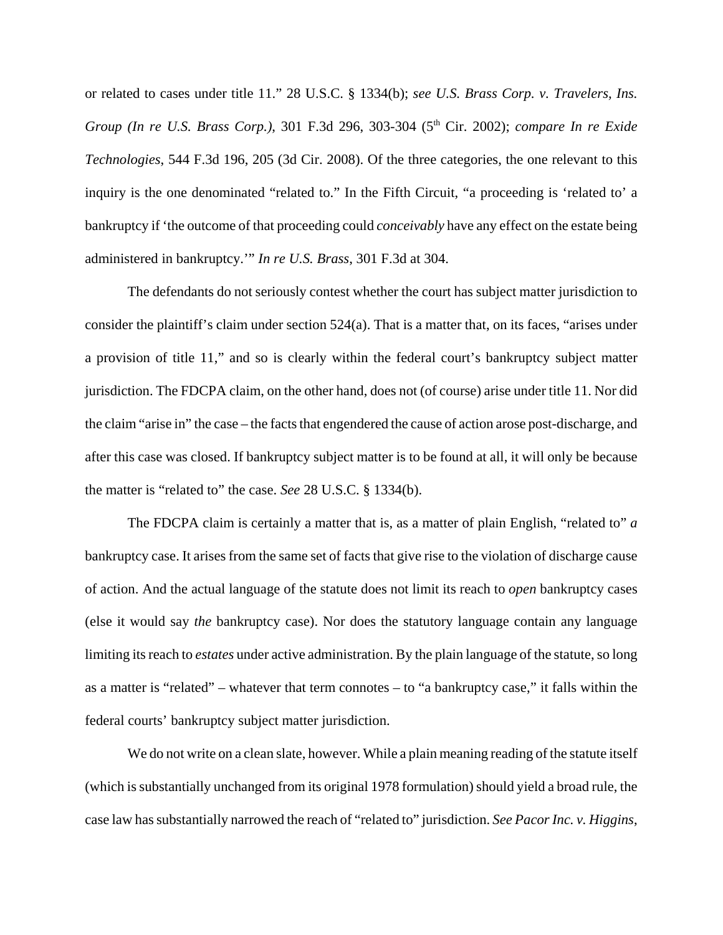or related to cases under title 11." 28 U.S.C. § 1334(b); *see U.S. Brass Corp. v. Travelers, Ins. Group (In re U.S. Brass Corp.)*, 301 F.3d 296, 303-304 (5<sup>th</sup> Cir. 2002); *compare In re Exide Technologies*, 544 F.3d 196, 205 (3d Cir. 2008). Of the three categories, the one relevant to this inquiry is the one denominated "related to." In the Fifth Circuit, "a proceeding is 'related to' a bankruptcy if 'the outcome of that proceeding could *conceivably* have any effect on the estate being administered in bankruptcy.'" *In re U.S. Brass*, 301 F.3d at 304.

The defendants do not seriously contest whether the court has subject matter jurisdiction to consider the plaintiff's claim under section 524(a). That is a matter that, on its faces, "arises under a provision of title 11," and so is clearly within the federal court's bankruptcy subject matter jurisdiction. The FDCPA claim, on the other hand, does not (of course) arise under title 11. Nor did the claim "arise in" the case – the facts that engendered the cause of action arose post-discharge, and after this case was closed. If bankruptcy subject matter is to be found at all, it will only be because the matter is "related to" the case. *See* 28 U.S.C. § 1334(b).

The FDCPA claim is certainly a matter that is, as a matter of plain English, "related to" *a* bankruptcy case. It arises from the same set of facts that give rise to the violation of discharge cause of action. And the actual language of the statute does not limit its reach to *open* bankruptcy cases (else it would say *the* bankruptcy case). Nor does the statutory language contain any language limiting its reach to *estates* under active administration. By the plain language of the statute, so long as a matter is "related" – whatever that term connotes – to "a bankruptcy case," it falls within the federal courts' bankruptcy subject matter jurisdiction.

We do not write on a clean slate, however. While a plain meaning reading of the statute itself (which is substantially unchanged from its original 1978 formulation) should yield a broad rule, the case law has substantially narrowed the reach of "related to" jurisdiction. *See Pacor Inc. v. Higgins*,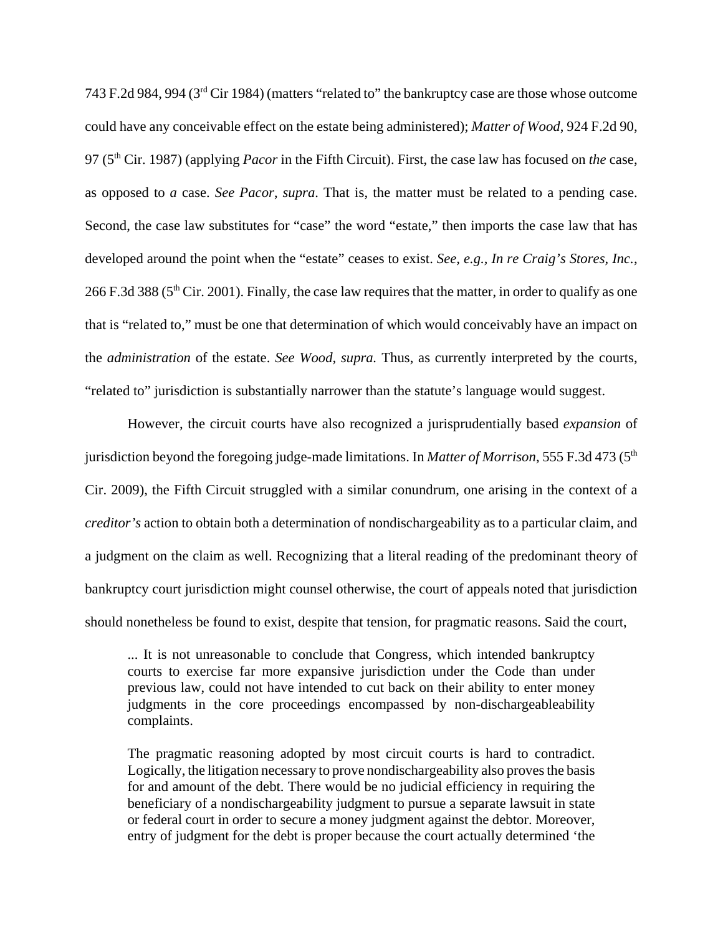743 F.2d 984, 994 (3rd Cir 1984) (matters "related to" the bankruptcy case are those whose outcome could have any conceivable effect on the estate being administered); *Matter of Wood*, 924 F.2d 90, 97 (5th Cir. 1987) (applying *Pacor* in the Fifth Circuit). First, the case law has focused on *the* case, as opposed to *a* case. *See Pacor*, *supra*. That is, the matter must be related to a pending case. Second, the case law substitutes for "case" the word "estate," then imports the case law that has developed around the point when the "estate" ceases to exist. *See, e.g., In re Craig's Stores, Inc.*, 266 F.3d 388 (5th Cir. 2001). Finally, the case law requires that the matter, in order to qualify as one that is "related to," must be one that determination of which would conceivably have an impact on the *administration* of the estate. *See Wood, supra.* Thus, as currently interpreted by the courts, "related to" jurisdiction is substantially narrower than the statute's language would suggest.

However, the circuit courts have also recognized a jurisprudentially based *expansion* of jurisdiction beyond the foregoing judge-made limitations. In *Matter of Morrison*, 555 F.3d 473 (5<sup>th</sup>) Cir. 2009), the Fifth Circuit struggled with a similar conundrum, one arising in the context of a *creditor's* action to obtain both a determination of nondischargeability as to a particular claim, and a judgment on the claim as well. Recognizing that a literal reading of the predominant theory of bankruptcy court jurisdiction might counsel otherwise, the court of appeals noted that jurisdiction should nonetheless be found to exist, despite that tension, for pragmatic reasons. Said the court,

... It is not unreasonable to conclude that Congress, which intended bankruptcy courts to exercise far more expansive jurisdiction under the Code than under previous law, could not have intended to cut back on their ability to enter money judgments in the core proceedings encompassed by non-dischargeableability complaints.

The pragmatic reasoning adopted by most circuit courts is hard to contradict. Logically, the litigation necessary to prove nondischargeability also proves the basis for and amount of the debt. There would be no judicial efficiency in requiring the beneficiary of a nondischargeability judgment to pursue a separate lawsuit in state or federal court in order to secure a money judgment against the debtor. Moreover, entry of judgment for the debt is proper because the court actually determined 'the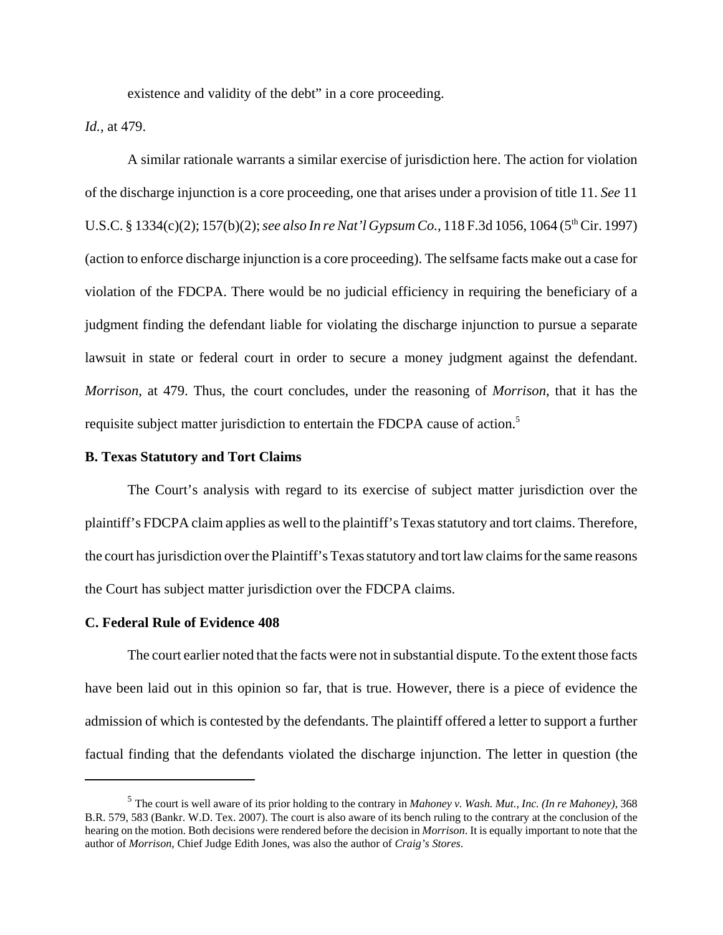existence and validity of the debt" in a core proceeding.

*Id.*, at 479.

A similar rationale warrants a similar exercise of jurisdiction here. The action for violation of the discharge injunction is a core proceeding, one that arises under a provision of title 11. *See* 11 U.S.C. § 1334(c)(2); 157(b)(2); *see also In re Nat'l Gypsum Co.*, 118 F.3d 1056, 1064 (5<sup>th</sup> Cir. 1997) (action to enforce discharge injunction is a core proceeding). The selfsame facts make out a case for violation of the FDCPA. There would be no judicial efficiency in requiring the beneficiary of a judgment finding the defendant liable for violating the discharge injunction to pursue a separate lawsuit in state or federal court in order to secure a money judgment against the defendant. *Morrison*, at 479. Thus, the court concludes, under the reasoning of *Morrison*, that it has the requisite subject matter jurisdiction to entertain the FDCPA cause of action.<sup>5</sup>

# **B. Texas Statutory and Tort Claims**

The Court's analysis with regard to its exercise of subject matter jurisdiction over the plaintiff's FDCPA claim applies as well to the plaintiff's Texas statutory and tort claims. Therefore, the court has jurisdiction over the Plaintiff's Texas statutory and tort law claims for the same reasons the Court has subject matter jurisdiction over the FDCPA claims.

#### **C. Federal Rule of Evidence 408**

The court earlier noted that the facts were not in substantial dispute. To the extent those facts have been laid out in this opinion so far, that is true. However, there is a piece of evidence the admission of which is contested by the defendants. The plaintiff offered a letter to support a further factual finding that the defendants violated the discharge injunction. The letter in question (the

<sup>5</sup> The court is well aware of its prior holding to the contrary in *Mahoney v. Wash. Mut., Inc. (In re Mahoney)*, 368 B.R. 579, 583 (Bankr. W.D. Tex. 2007). The court is also aware of its bench ruling to the contrary at the conclusion of the hearing on the motion. Both decisions were rendered before the decision in *Morrison*. It is equally important to note that the author of *Morrison*, Chief Judge Edith Jones, was also the author of *Craig's Stores*.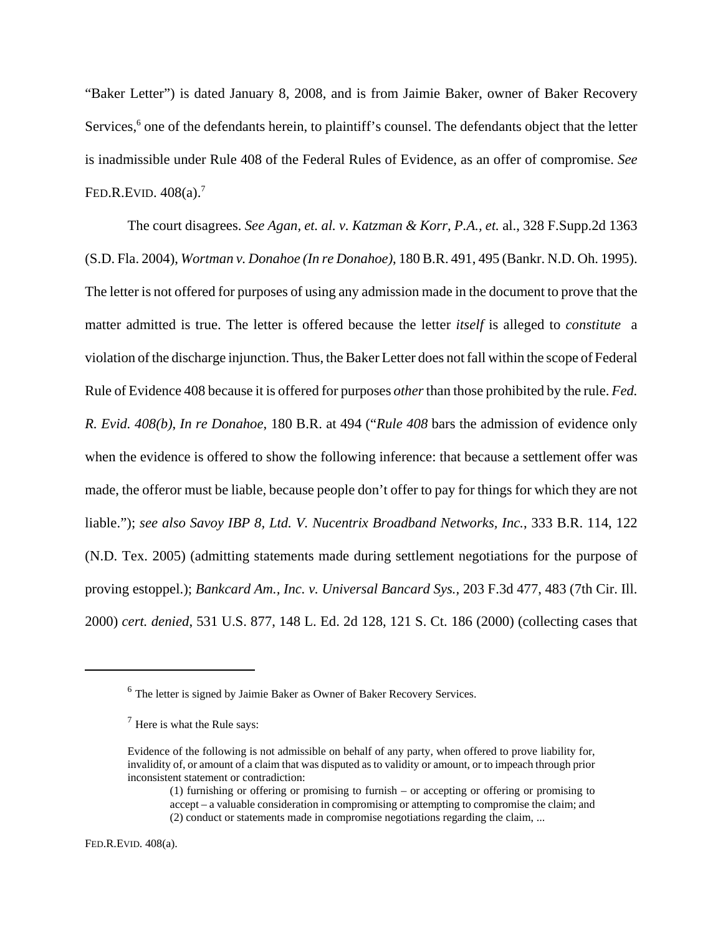"Baker Letter") is dated January 8, 2008, and is from Jaimie Baker, owner of Baker Recovery Services,<sup>6</sup> one of the defendants herein, to plaintiff's counsel. The defendants object that the letter is inadmissible under Rule 408 of the Federal Rules of Evidence, as an offer of compromise. *See* FED.R.EVID.  $408(a)$ .<sup>7</sup>

The court disagrees. *See Agan, et. al. v. Katzman & Korr, P.A., et.* al., 328 F.Supp.2d 1363 (S.D. Fla. 2004), *Wortman v. Donahoe (In re Donahoe)*, 180 B.R. 491, 495 (Bankr. N.D. Oh. 1995). The letter is not offered for purposes of using any admission made in the document to prove that the matter admitted is true. The letter is offered because the letter *itself* is alleged to *constitute* a violation of the discharge injunction. Thus, the Baker Letter does not fall within the scope of Federal Rule of Evidence 408 because it is offered for purposes *other* than those prohibited by the rule. *Fed. R. Evid. 408(b)*, *In re Donahoe*, 180 B.R. at 494 ("*Rule 408* bars the admission of evidence only when the evidence is offered to show the following inference: that because a settlement offer was made, the offeror must be liable, because people don't offer to pay for things for which they are not liable."); *see also Savoy IBP 8, Ltd. V. Nucentrix Broadband Networks, Inc.*, 333 B.R. 114, 122 (N.D. Tex. 2005) (admitting statements made during settlement negotiations for the purpose of proving estoppel.); *Bankcard Am., Inc. v. Universal Bancard Sys.,* 203 F.3d 477, 483 (7th Cir. Ill. 2000) *cert. denied*, 531 U.S. 877, 148 L. Ed. 2d 128, 121 S. Ct. 186 (2000) (collecting cases that

FED.R.EVID. 408(a).

<sup>6</sup> The letter is signed by Jaimie Baker as Owner of Baker Recovery Services.

 $<sup>7</sup>$  Here is what the Rule says:</sup>

Evidence of the following is not admissible on behalf of any party, when offered to prove liability for, invalidity of, or amount of a claim that was disputed as to validity or amount, or to impeach through prior inconsistent statement or contradiction:

<sup>(1)</sup> furnishing or offering or promising to furnish – or accepting or offering or promising to accept – a valuable consideration in compromising or attempting to compromise the claim; and (2) conduct or statements made in compromise negotiations regarding the claim, ...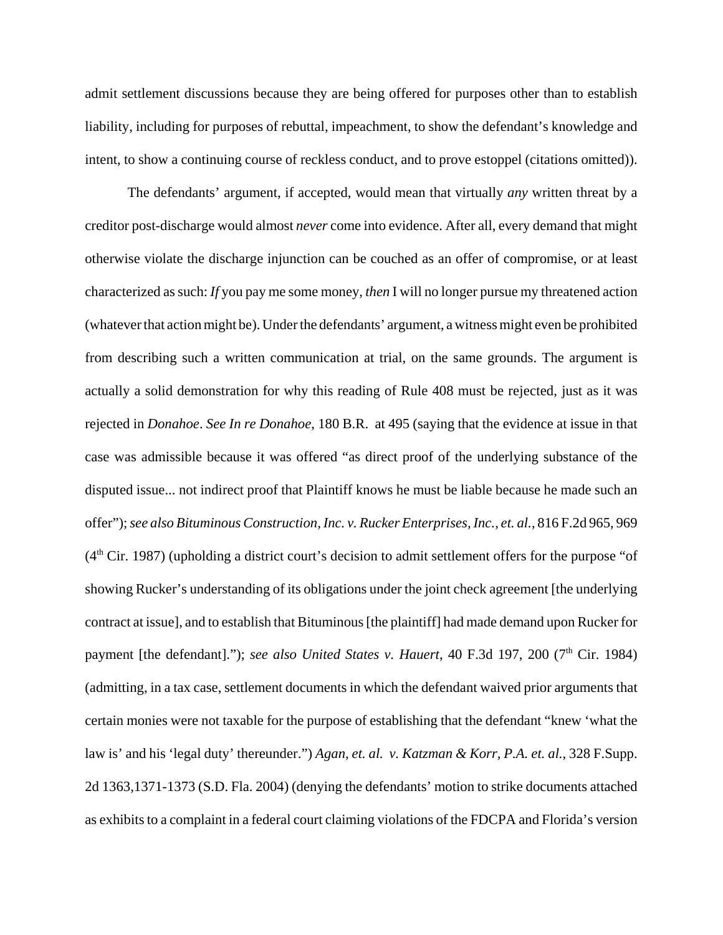admit settlement discussions because they are being offered for purposes other than to establish liability, including for purposes of rebuttal, impeachment, to show the defendant's knowledge and intent, to show a continuing course of reckless conduct, and to prove estoppel (citations omitted)).

The defendants' argument, if accepted, would mean that virtually *any* written threat by a creditor post-discharge would almost *never* come into evidence. After all, every demand that might otherwise violate the discharge injunction can be couched as an offer of compromise, or at least characterized as such: *If* you pay me some money, *then* I will no longer pursue my threatened action (whatever that action might be). Under the defendants' argument, a witness might even be prohibited from describing such a written communication at trial, on the same grounds. The argument is actually a solid demonstration for why this reading of Rule 408 must be rejected, just as it was rejected in *Donahoe*. *See In re Donahoe*, 180 B.R. at 495 (saying that the evidence at issue in that case was admissible because it was offered "as direct proof of the underlying substance of the disputed issue... not indirect proof that Plaintiff knows he must be liable because he made such an offer"); *see also Bituminous Construction, Inc. v. Rucker Enterprises, Inc., et. al.*, 816 F.2d 965, 969  $(4<sup>th</sup> Cir. 1987)$  (upholding a district court's decision to admit settlement offers for the purpose "of showing Rucker's understanding of its obligations under the joint check agreement [the underlying contract at issue], and to establish that Bituminous [the plaintiff] had made demand upon Rucker for payment [the defendant]."); *see also United States v. Hauert*, 40 F.3d 197, 200 (7<sup>th</sup> Cir. 1984) (admitting, in a tax case, settlement documents in which the defendant waived prior arguments that certain monies were not taxable for the purpose of establishing that the defendant "knew 'what the law is' and his 'legal duty' thereunder.") *Agan, et. al. v. Katzman & Korr, P.A. et. al.*, 328 F.Supp. 2d 1363,1371-1373 (S.D. Fla. 2004) (denying the defendants' motion to strike documents attached as exhibits to a complaint in a federal court claiming violations of the FDCPA and Florida's version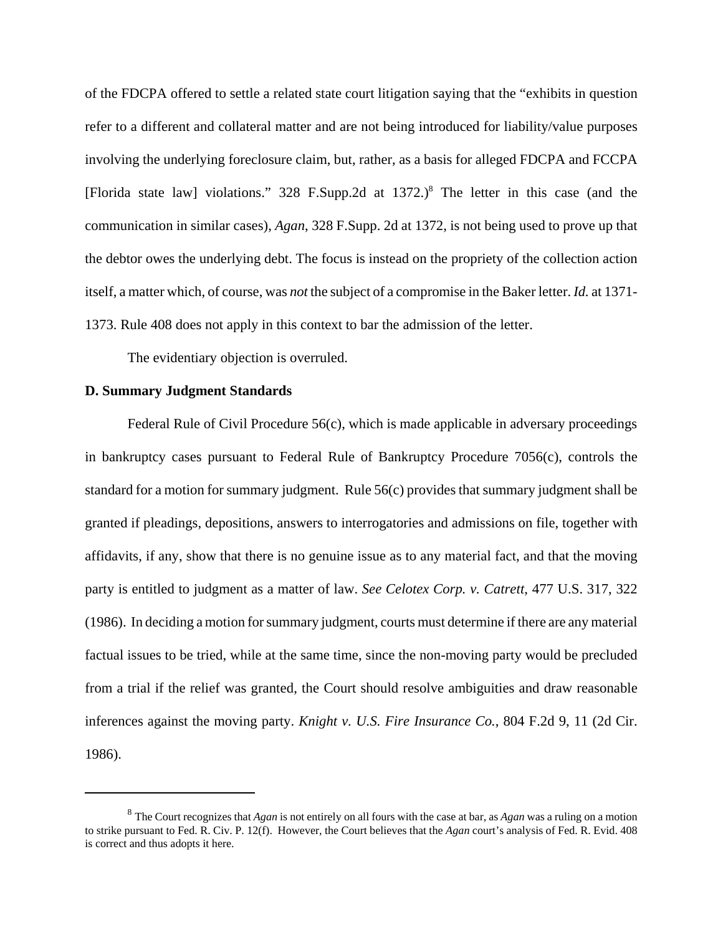of the FDCPA offered to settle a related state court litigation saying that the "exhibits in question refer to a different and collateral matter and are not being introduced for liability/value purposes involving the underlying foreclosure claim, but, rather, as a basis for alleged FDCPA and FCCPA [Florida state law] violations." 328 F.Supp.2d at 1372.)<sup>8</sup> The letter in this case (and the communication in similar cases), *Agan*, 328 F.Supp. 2d at 1372, is not being used to prove up that the debtor owes the underlying debt. The focus is instead on the propriety of the collection action itself, a matter which, of course, was *not* the subject of a compromise in the Baker letter. *Id.* at 1371- 1373. Rule 408 does not apply in this context to bar the admission of the letter.

The evidentiary objection is overruled.

## **D. Summary Judgment Standards**

Federal Rule of Civil Procedure 56(c), which is made applicable in adversary proceedings in bankruptcy cases pursuant to Federal Rule of Bankruptcy Procedure 7056(c), controls the standard for a motion for summary judgment. Rule 56(c) provides that summary judgment shall be granted if pleadings, depositions, answers to interrogatories and admissions on file, together with affidavits, if any, show that there is no genuine issue as to any material fact, and that the moving party is entitled to judgment as a matter of law. *See Celotex Corp. v. Catrett*, 477 U.S. 317, 322 (1986). In deciding a motion for summary judgment, courts must determine if there are any material factual issues to be tried, while at the same time, since the non-moving party would be precluded from a trial if the relief was granted, the Court should resolve ambiguities and draw reasonable inferences against the moving party. *Knight v. U.S. Fire Insurance Co.*, 804 F.2d 9, 11 (2d Cir. 1986).

<sup>8</sup> The Court recognizes that *Agan* is not entirely on all fours with the case at bar, as *Agan* was a ruling on a motion to strike pursuant to Fed. R. Civ. P. 12(f). However, the Court believes that the *Agan* court's analysis of Fed. R. Evid. 408 is correct and thus adopts it here.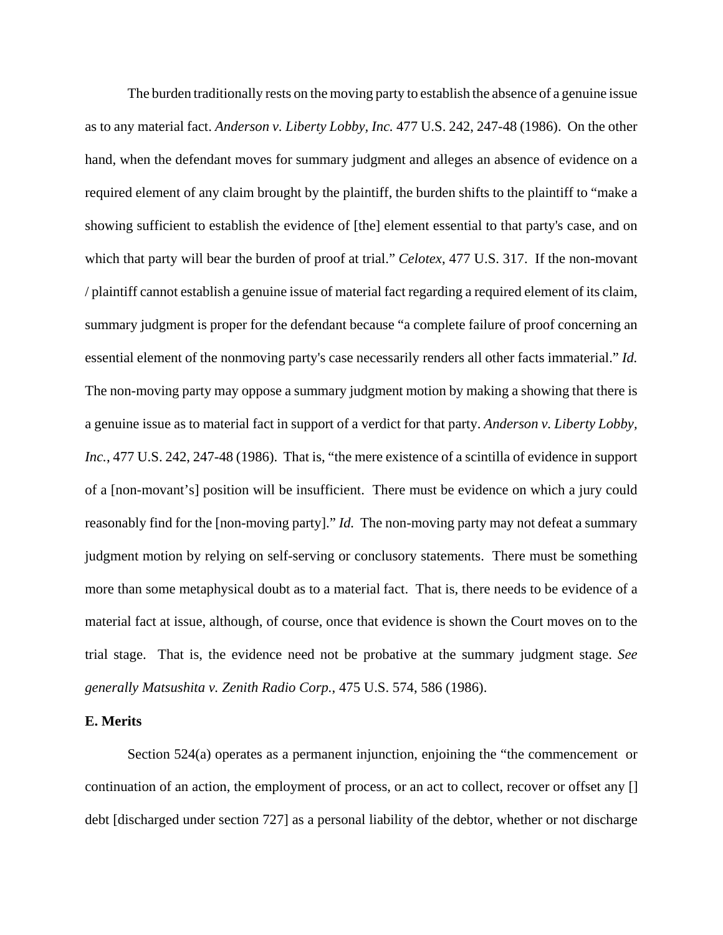The burden traditionally rests on the moving party to establish the absence of a genuine issue as to any material fact. *Anderson v. Liberty Lobby, Inc.* 477 U.S. 242, 247-48 (1986). On the other hand, when the defendant moves for summary judgment and alleges an absence of evidence on a required element of any claim brought by the plaintiff, the burden shifts to the plaintiff to "make a showing sufficient to establish the evidence of [the] element essential to that party's case, and on which that party will bear the burden of proof at trial." *Celotex*, 477 U.S. 317. If the non-movant / plaintiff cannot establish a genuine issue of material fact regarding a required element of its claim, summary judgment is proper for the defendant because "a complete failure of proof concerning an essential element of the nonmoving party's case necessarily renders all other facts immaterial." *Id.* The non-moving party may oppose a summary judgment motion by making a showing that there is a genuine issue as to material fact in support of a verdict for that party. *Anderson v. Liberty Lobby, Inc.*, 477 U.S. 242, 247-48 (1986). That is, "the mere existence of a scintilla of evidence in support of a [non-movant's] position will be insufficient. There must be evidence on which a jury could reasonably find for the [non-moving party]." *Id.* The non-moving party may not defeat a summary judgment motion by relying on self-serving or conclusory statements. There must be something more than some metaphysical doubt as to a material fact. That is, there needs to be evidence of a material fact at issue, although, of course, once that evidence is shown the Court moves on to the trial stage. That is, the evidence need not be probative at the summary judgment stage. *See generally Matsushita v. Zenith Radio Corp.*, 475 U.S. 574, 586 (1986).

# **E. Merits**

Section 524(a) operates as a permanent injunction, enjoining the "the commencement or continuation of an action, the employment of process, or an act to collect, recover or offset any [] debt [discharged under section 727] as a personal liability of the debtor, whether or not discharge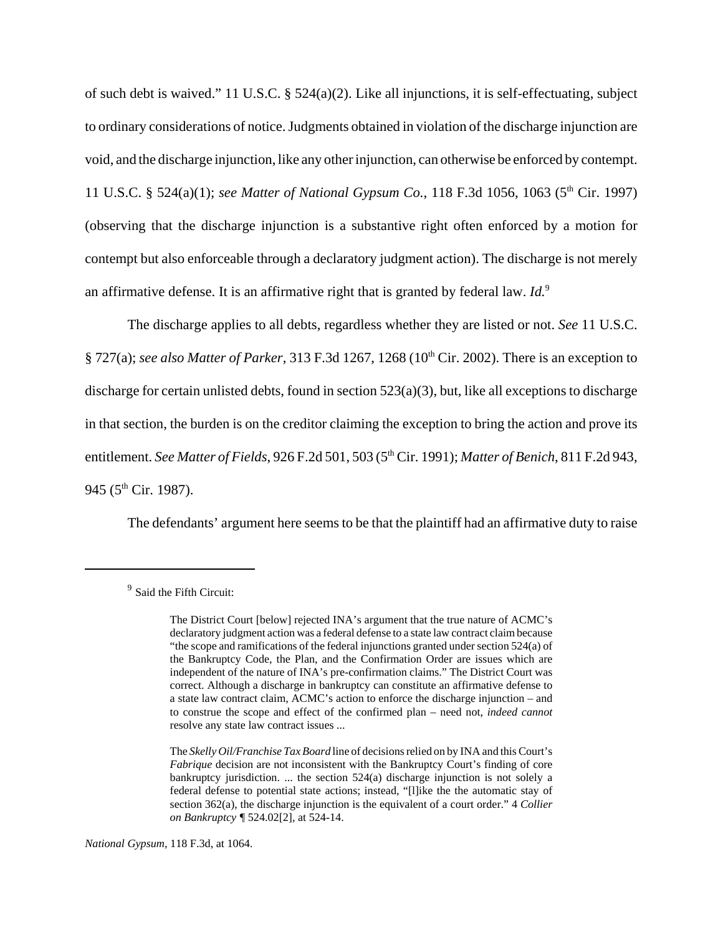of such debt is waived." 11 U.S.C. § 524(a)(2). Like all injunctions, it is self-effectuating, subject to ordinary considerations of notice. Judgments obtained in violation of the discharge injunction are void, and the discharge injunction, like any other injunction, can otherwise be enforced by contempt. 11 U.S.C. § 524(a)(1); *see Matter of National Gypsum Co.*, 118 F.3d 1056, 1063 (5th Cir. 1997) (observing that the discharge injunction is a substantive right often enforced by a motion for contempt but also enforceable through a declaratory judgment action). The discharge is not merely an affirmative defense. It is an affirmative right that is granted by federal law. *Id.*<sup>9</sup>

The discharge applies to all debts, regardless whether they are listed or not. *See* 11 U.S.C. § 727(a); *see also Matter of Parker*, 313 F.3d 1267, 1268 (10th Cir. 2002). There is an exception to discharge for certain unlisted debts, found in section 523(a)(3), but, like all exceptions to discharge in that section, the burden is on the creditor claiming the exception to bring the action and prove its entitlement. *See Matter of Fields*, 926 F.2d 501, 503 (5<sup>th</sup> Cir. 1991); *Matter of Benich*, 811 F.2d 943, 945 ( $5^{\text{th}}$  Cir. 1987).

The defendants' argument here seems to be that the plaintiff had an affirmative duty to raise

<sup>&</sup>lt;sup>9</sup> Said the Fifth Circuit:

The District Court [below] rejected INA's argument that the true nature of ACMC's declaratory judgment action was a federal defense to a state law contract claim because "the scope and ramifications of the federal injunctions granted under section 524(a) of the Bankruptcy Code, the Plan, and the Confirmation Order are issues which are independent of the nature of INA's pre-confirmation claims." The District Court was correct. Although a discharge in bankruptcy can constitute an affirmative defense to a state law contract claim, ACMC's action to enforce the discharge injunction – and to construe the scope and effect of the confirmed plan – need not, *indeed cannot* resolve any state law contract issues ...

The *Skelly Oil/Franchise Tax Board* line of decisions relied on by INA and this Court's *Fabrique* decision are not inconsistent with the Bankruptcy Court's finding of core bankruptcy jurisdiction. ... the section 524(a) discharge injunction is not solely a federal defense to potential state actions; instead, "[l]ike the the automatic stay of section 362(a), the discharge injunction is the equivalent of a court order." 4 *Collier on Bankruptcy ¶* 524.02[2], at 524-14.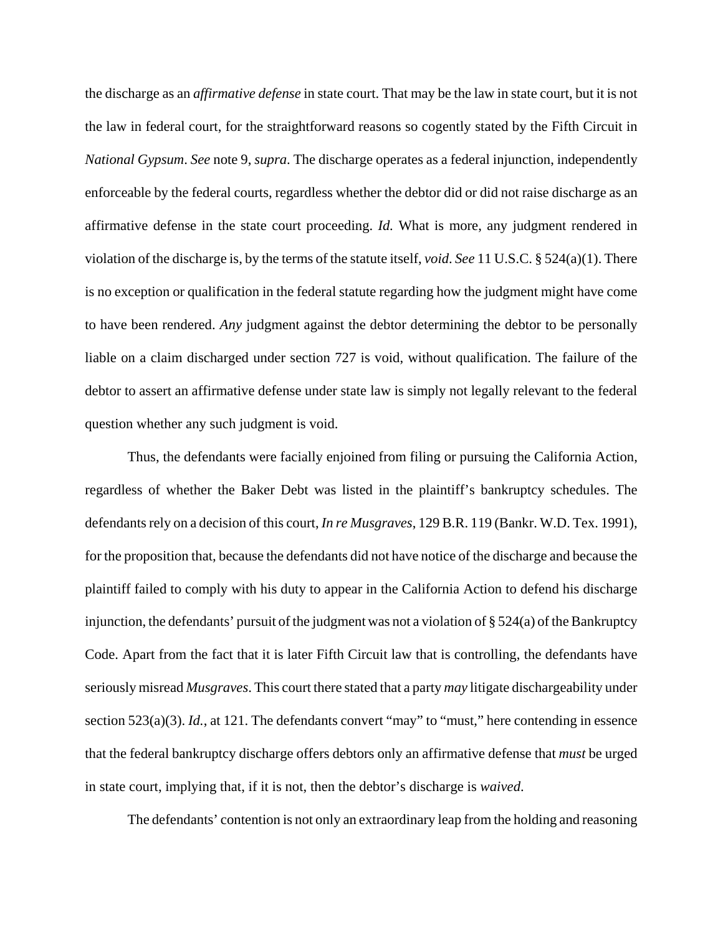the discharge as an *affirmative defense* in state court. That may be the law in state court, but it is not the law in federal court, for the straightforward reasons so cogently stated by the Fifth Circuit in *National Gypsum*. *See* note 9, *supra*. The discharge operates as a federal injunction, independently enforceable by the federal courts, regardless whether the debtor did or did not raise discharge as an affirmative defense in the state court proceeding. *Id.* What is more, any judgment rendered in violation of the discharge is, by the terms of the statute itself, *void*. *See* 11 U.S.C. § 524(a)(1). There is no exception or qualification in the federal statute regarding how the judgment might have come to have been rendered. *Any* judgment against the debtor determining the debtor to be personally liable on a claim discharged under section 727 is void, without qualification. The failure of the debtor to assert an affirmative defense under state law is simply not legally relevant to the federal question whether any such judgment is void.

Thus, the defendants were facially enjoined from filing or pursuing the California Action, regardless of whether the Baker Debt was listed in the plaintiff's bankruptcy schedules. The defendants rely on a decision of this court, *In re Musgraves*, 129 B.R. 119 (Bankr. W.D. Tex. 1991), for the proposition that, because the defendants did not have notice of the discharge and because the plaintiff failed to comply with his duty to appear in the California Action to defend his discharge injunction, the defendants' pursuit of the judgment was not a violation of  $\S 524(a)$  of the Bankruptcy Code. Apart from the fact that it is later Fifth Circuit law that is controlling, the defendants have seriously misread *Musgraves*. This court there stated that a party *may* litigate dischargeability under section 523(a)(3). *Id.*, at 121. The defendants convert "may" to "must," here contending in essence that the federal bankruptcy discharge offers debtors only an affirmative defense that *must* be urged in state court, implying that, if it is not, then the debtor's discharge is *waived*.

The defendants' contention is not only an extraordinary leap from the holding and reasoning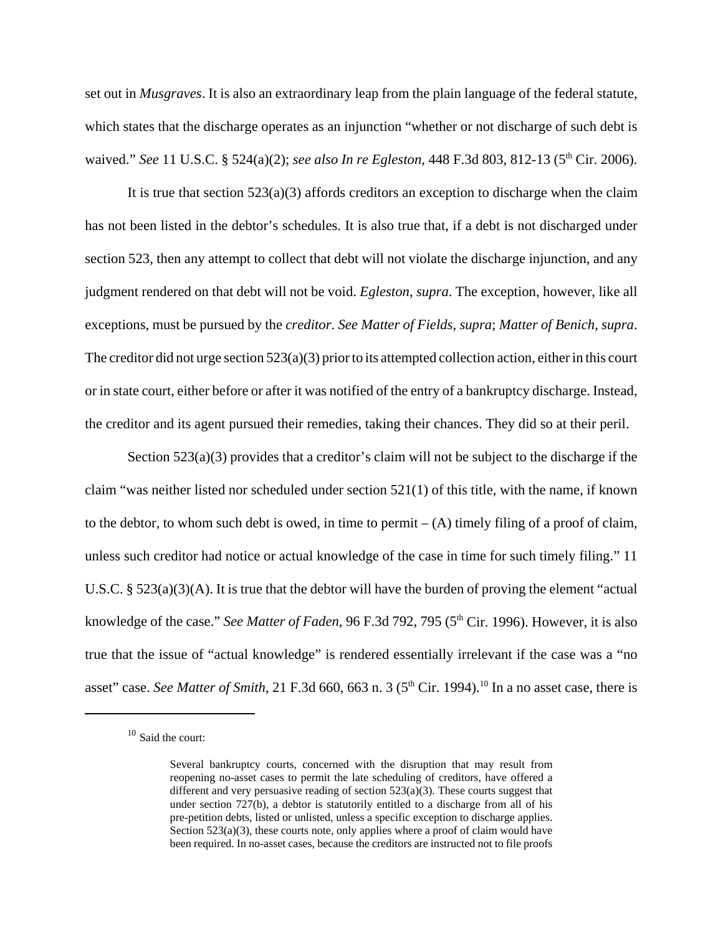set out in *Musgraves*. It is also an extraordinary leap from the plain language of the federal statute, which states that the discharge operates as an injunction "whether or not discharge of such debt is waived." *See* 11 U.S.C. § 524(a)(2); *see also In re Egleston*, 448 F.3d 803, 812-13 (5<sup>th</sup> Cir. 2006).

It is true that section  $523(a)(3)$  affords creditors an exception to discharge when the claim has not been listed in the debtor's schedules. It is also true that, if a debt is not discharged under section 523, then any attempt to collect that debt will not violate the discharge injunction, and any judgment rendered on that debt will not be void. *Egleston*, *supra*. The exception, however, like all exceptions, must be pursued by the *creditor*. *See Matter of Fields*, *supra*; *Matter of Benich, supra*. The creditor did not urge section  $523(a)(3)$  prior to its attempted collection action, either in this court or in state court, either before or after it was notified of the entry of a bankruptcy discharge. Instead, the creditor and its agent pursued their remedies, taking their chances. They did so at their peril.

Section 523(a)(3) provides that a creditor's claim will not be subject to the discharge if the claim "was neither listed nor scheduled under section 521(1) of this title, with the name, if known to the debtor, to whom such debt is owed, in time to permit  $-(A)$  timely filing of a proof of claim, unless such creditor had notice or actual knowledge of the case in time for such timely filing." 11 U.S.C. § 523(a)(3)(A). It is true that the debtor will have the burden of proving the element "actual knowledge of the case." *See Matter of Faden*, 96 F.3d 792, 795 (5<sup>th</sup> Cir. 1996). However, it is also true that the issue of "actual knowledge" is rendered essentially irrelevant if the case was a "no asset" case. *See Matter of Smith*, 21 F.3d 660, 663 n. 3 (5<sup>th</sup> Cir. 1994).<sup>10</sup> In a no asset case, there is

<sup>10</sup> Said the court:

Several bankruptcy courts, concerned with the disruption that may result from reopening no-asset cases to permit the late scheduling of creditors, have offered a different and very persuasive reading of section 523(a)(3). These courts suggest that under section 727(b), a debtor is statutorily entitled to a discharge from all of his pre-petition debts, listed or unlisted, unless a specific exception to discharge applies. Section 523(a)(3), these courts note, only applies where a proof of claim would have been required. In no-asset cases, because the creditors are instructed not to file proofs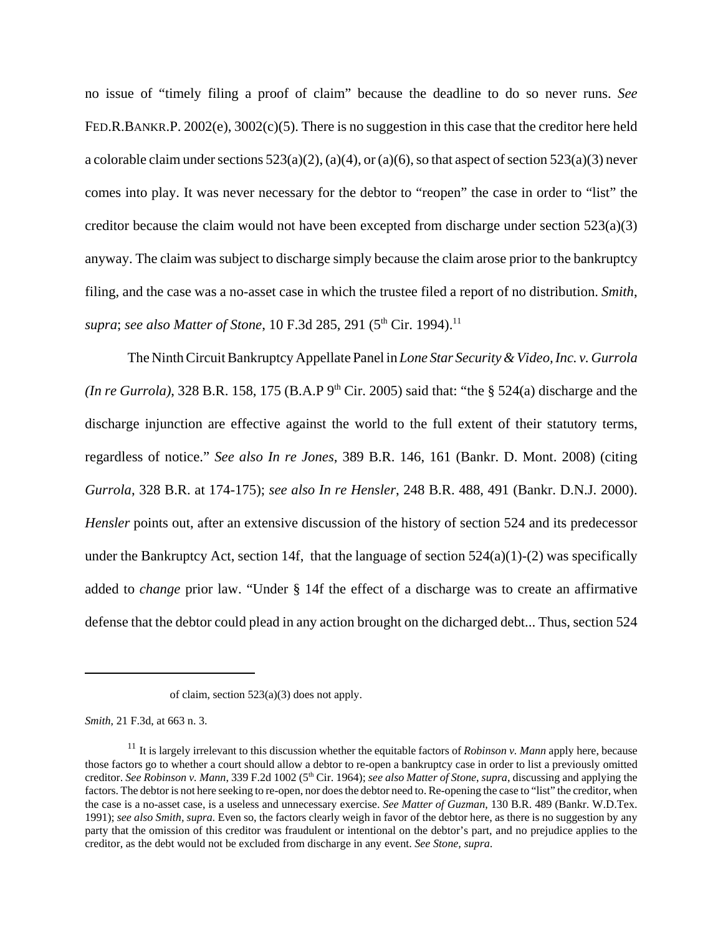no issue of "timely filing a proof of claim" because the deadline to do so never runs. *See* FED.R.BANKR.P. 2002(e), 3002(c)(5). There is no suggestion in this case that the creditor here held a colorable claim under sections  $523(a)(2)$ ,  $(a)(4)$ , or  $(a)(6)$ , so that aspect of section  $523(a)(3)$  never comes into play. It was never necessary for the debtor to "reopen" the case in order to "list" the creditor because the claim would not have been excepted from discharge under section  $523(a)(3)$ anyway. The claim was subject to discharge simply because the claim arose prior to the bankruptcy filing, and the case was a no-asset case in which the trustee filed a report of no distribution. *Smith*, *supra*; *see also Matter of Stone*, 10 F.3d 285, 291 (5<sup>th</sup> Cir. 1994).<sup>11</sup>

The Ninth Circuit Bankruptcy Appellate Panel in *Lone Star Security & Video, Inc. v. Gurrola (In re Gurrola)*, 328 B.R. 158, 175 (B.A.P  $9<sup>th</sup>$  Cir. 2005) said that: "the § 524(a) discharge and the discharge injunction are effective against the world to the full extent of their statutory terms, regardless of notice." *See also In re Jones*, 389 B.R. 146, 161 (Bankr. D. Mont. 2008) (citing *Gurrola*, 328 B.R. at 174-175); *see also In re Hensler*, 248 B.R. 488, 491 (Bankr. D.N.J. 2000). *Hensler* points out, after an extensive discussion of the history of section 524 and its predecessor under the Bankruptcy Act, section 14f, that the language of section  $524(a)(1)-(2)$  was specifically added to *change* prior law. "Under § 14f the effect of a discharge was to create an affirmative defense that the debtor could plead in any action brought on the dicharged debt... Thus, section 524

*Smith*, 21 F.3d, at 663 n. 3.

of claim, section 523(a)(3) does not apply.

<sup>&</sup>lt;sup>11</sup> It is largely irrelevant to this discussion whether the equitable factors of *Robinson v. Mann* apply here, because those factors go to whether a court should allow a debtor to re-open a bankruptcy case in order to list a previously omitted creditor. *See Robinson v. Mann*, 339 F.2d 1002 (5th Cir. 1964); *see also Matter of Stone*, *supra*, discussing and applying the factors. The debtor is not here seeking to re-open, nor does the debtor need to. Re-opening the case to "list" the creditor, when the case is a no-asset case, is a useless and unnecessary exercise. *See Matter of Guzman*, 130 B.R. 489 (Bankr. W.D.Tex. 1991); *see also Smith, supra.* Even so, the factors clearly weigh in favor of the debtor here, as there is no suggestion by any party that the omission of this creditor was fraudulent or intentional on the debtor's part, and no prejudice applies to the creditor, as the debt would not be excluded from discharge in any event. *See Stone, supra*.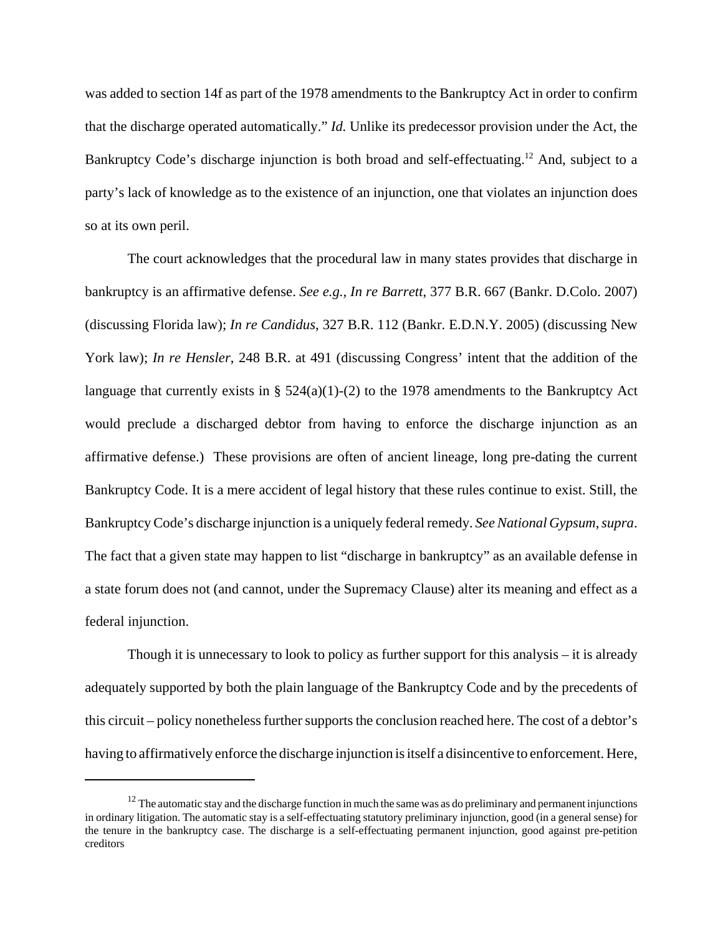was added to section 14f as part of the 1978 amendments to the Bankruptcy Act in order to confirm that the discharge operated automatically." *Id.* Unlike its predecessor provision under the Act, the Bankruptcy Code's discharge injunction is both broad and self-effectuating.<sup>12</sup> And, subject to a party's lack of knowledge as to the existence of an injunction, one that violates an injunction does so at its own peril.

The court acknowledges that the procedural law in many states provides that discharge in bankruptcy is an affirmative defense. *See e.g., In re Barrett*, 377 B.R. 667 (Bankr. D.Colo. 2007) (discussing Florida law); *In re Candidus*, 327 B.R. 112 (Bankr. E.D.N.Y. 2005) (discussing New York law); *In re Hensler*, 248 B.R. at 491 (discussing Congress' intent that the addition of the language that currently exists in §  $524(a)(1)-(2)$  to the 1978 amendments to the Bankruptcy Act would preclude a discharged debtor from having to enforce the discharge injunction as an affirmative defense.) These provisions are often of ancient lineage, long pre-dating the current Bankruptcy Code. It is a mere accident of legal history that these rules continue to exist. Still, the Bankruptcy Code's discharge injunction is a uniquely federal remedy. *See National Gypsum*, *supra*. The fact that a given state may happen to list "discharge in bankruptcy" as an available defense in a state forum does not (and cannot, under the Supremacy Clause) alter its meaning and effect as a federal injunction.

Though it is unnecessary to look to policy as further support for this analysis – it is already adequately supported by both the plain language of the Bankruptcy Code and by the precedents of this circuit – policy nonetheless further supports the conclusion reached here. The cost of a debtor's having to affirmatively enforce the discharge injunction is itself a disincentive to enforcement. Here,

 $12$  The automatic stay and the discharge function in much the same was as do preliminary and permanent injunctions in ordinary litigation. The automatic stay is a self-effectuating statutory preliminary injunction, good (in a general sense) for the tenure in the bankruptcy case. The discharge is a self-effectuating permanent injunction, good against pre-petition creditors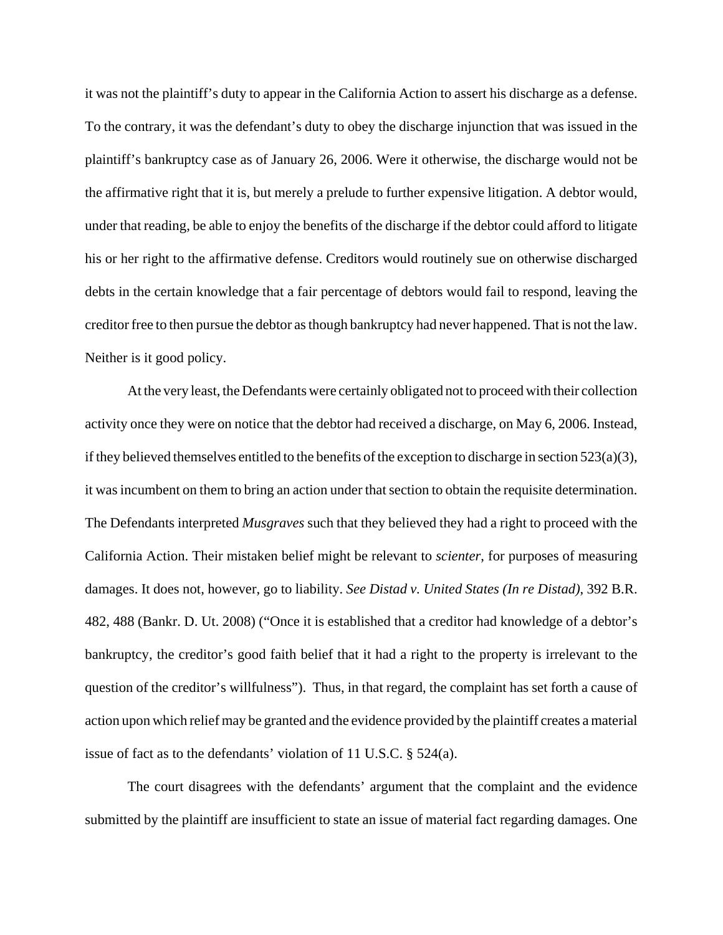it was not the plaintiff's duty to appear in the California Action to assert his discharge as a defense. To the contrary, it was the defendant's duty to obey the discharge injunction that was issued in the plaintiff's bankruptcy case as of January 26, 2006. Were it otherwise, the discharge would not be the affirmative right that it is, but merely a prelude to further expensive litigation. A debtor would, under that reading, be able to enjoy the benefits of the discharge if the debtor could afford to litigate his or her right to the affirmative defense. Creditors would routinely sue on otherwise discharged debts in the certain knowledge that a fair percentage of debtors would fail to respond, leaving the creditor free to then pursue the debtor as though bankruptcy had never happened. That is not the law. Neither is it good policy.

At the very least, the Defendants were certainly obligated not to proceed with their collection activity once they were on notice that the debtor had received a discharge, on May 6, 2006. Instead, if they believed themselves entitled to the benefits of the exception to discharge in section 523(a)(3), it was incumbent on them to bring an action under that section to obtain the requisite determination. The Defendants interpreted *Musgraves* such that they believed they had a right to proceed with the California Action. Their mistaken belief might be relevant to *scienter*, for purposes of measuring damages. It does not, however, go to liability. *See Distad v. United States (In re Distad)*, 392 B.R. 482, 488 (Bankr. D. Ut. 2008) ("Once it is established that a creditor had knowledge of a debtor's bankruptcy, the creditor's good faith belief that it had a right to the property is irrelevant to the question of the creditor's willfulness"). Thus, in that regard, the complaint has set forth a cause of action upon which relief may be granted and the evidence provided by the plaintiff creates a material issue of fact as to the defendants' violation of 11 U.S.C. § 524(a).

The court disagrees with the defendants' argument that the complaint and the evidence submitted by the plaintiff are insufficient to state an issue of material fact regarding damages. One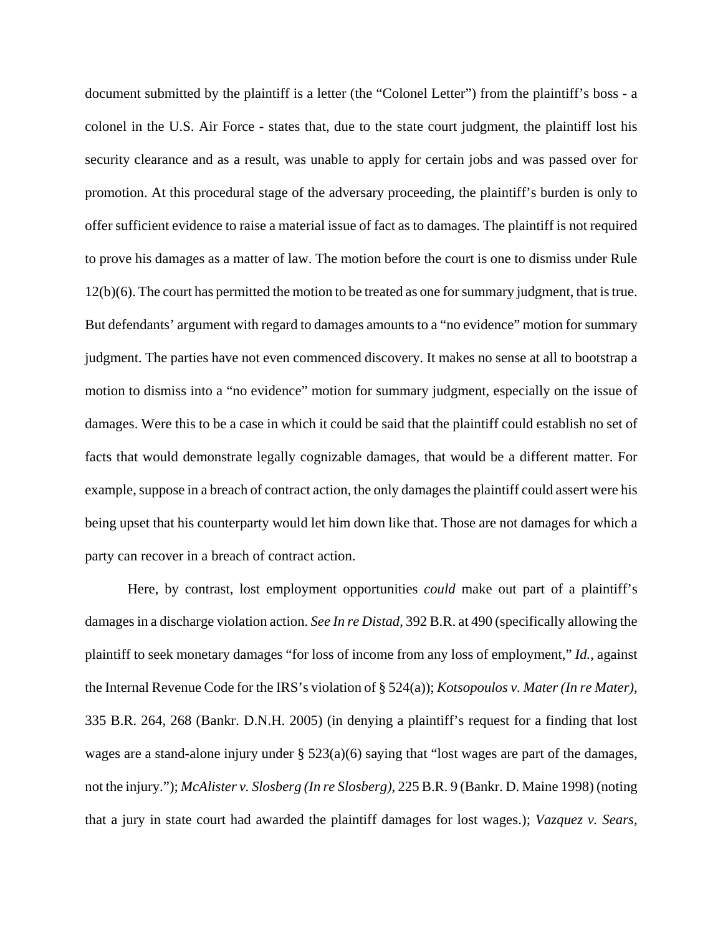document submitted by the plaintiff is a letter (the "Colonel Letter") from the plaintiff's boss - a colonel in the U.S. Air Force - states that, due to the state court judgment, the plaintiff lost his security clearance and as a result, was unable to apply for certain jobs and was passed over for promotion. At this procedural stage of the adversary proceeding, the plaintiff's burden is only to offer sufficient evidence to raise a material issue of fact as to damages. The plaintiff is not required to prove his damages as a matter of law. The motion before the court is one to dismiss under Rule 12(b)(6). The court has permitted the motion to be treated as one for summary judgment, that is true. But defendants' argument with regard to damages amounts to a "no evidence" motion for summary judgment. The parties have not even commenced discovery. It makes no sense at all to bootstrap a motion to dismiss into a "no evidence" motion for summary judgment, especially on the issue of damages. Were this to be a case in which it could be said that the plaintiff could establish no set of facts that would demonstrate legally cognizable damages, that would be a different matter. For example, suppose in a breach of contract action, the only damages the plaintiff could assert were his being upset that his counterparty would let him down like that. Those are not damages for which a party can recover in a breach of contract action.

Here, by contrast, lost employment opportunities *could* make out part of a plaintiff's damages in a discharge violation action. *See In re Distad*, 392 B.R. at 490 (specifically allowing the plaintiff to seek monetary damages "for loss of income from any loss of employment," *Id.*, against the Internal Revenue Code for the IRS's violation of § 524(a)); *Kotsopoulos v. Mater (In re Mater)*, 335 B.R. 264, 268 (Bankr. D.N.H. 2005) (in denying a plaintiff's request for a finding that lost wages are a stand-alone injury under § 523(a)(6) saying that "lost wages are part of the damages, not the injury."); *McAlister v. Slosberg (In re Slosberg)*, 225 B.R. 9 (Bankr. D. Maine 1998) (noting that a jury in state court had awarded the plaintiff damages for lost wages.); *Vazquez v. Sears,*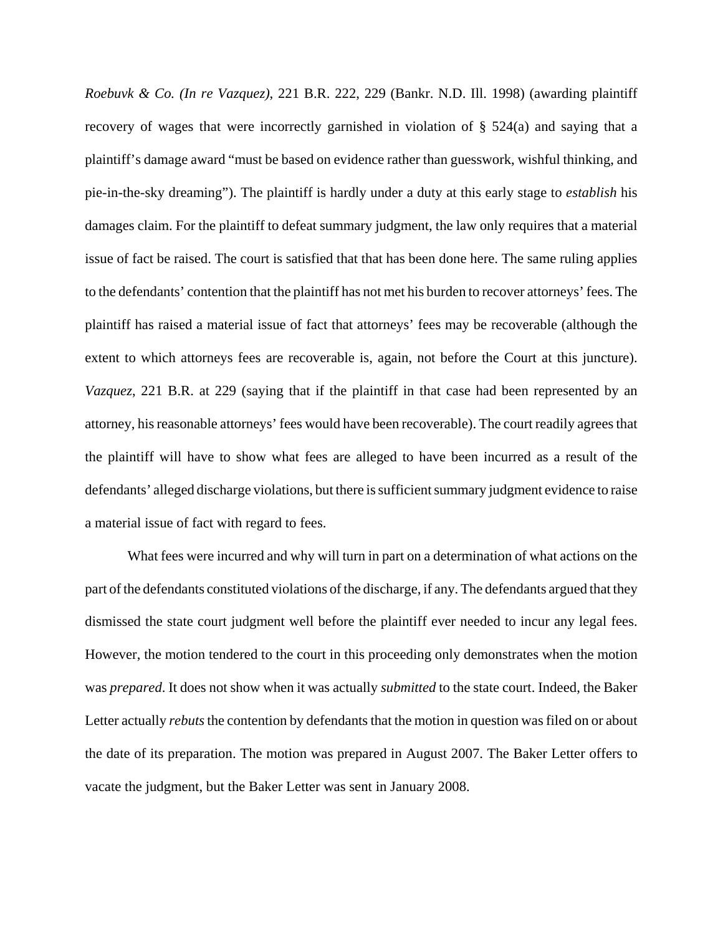*Roebuvk & Co. (In re Vazquez)*, 221 B.R. 222, 229 (Bankr. N.D. Ill. 1998) (awarding plaintiff recovery of wages that were incorrectly garnished in violation of § 524(a) and saying that a plaintiff's damage award "must be based on evidence rather than guesswork, wishful thinking, and pie-in-the-sky dreaming"). The plaintiff is hardly under a duty at this early stage to *establish* his damages claim. For the plaintiff to defeat summary judgment, the law only requires that a material issue of fact be raised. The court is satisfied that that has been done here. The same ruling applies to the defendants' contention that the plaintiff has not met his burden to recover attorneys' fees. The plaintiff has raised a material issue of fact that attorneys' fees may be recoverable (although the extent to which attorneys fees are recoverable is, again, not before the Court at this juncture). *Vazquez*, 221 B.R. at 229 (saying that if the plaintiff in that case had been represented by an attorney, his reasonable attorneys' fees would have been recoverable). The court readily agrees that the plaintiff will have to show what fees are alleged to have been incurred as a result of the defendants' alleged discharge violations, but there is sufficient summary judgment evidence to raise a material issue of fact with regard to fees.

What fees were incurred and why will turn in part on a determination of what actions on the part of the defendants constituted violations of the discharge, if any. The defendants argued that they dismissed the state court judgment well before the plaintiff ever needed to incur any legal fees. However, the motion tendered to the court in this proceeding only demonstrates when the motion was *prepared*. It does not show when it was actually *submitted* to the state court. Indeed, the Baker Letter actually *rebuts* the contention by defendants that the motion in question was filed on or about the date of its preparation. The motion was prepared in August 2007. The Baker Letter offers to vacate the judgment, but the Baker Letter was sent in January 2008.